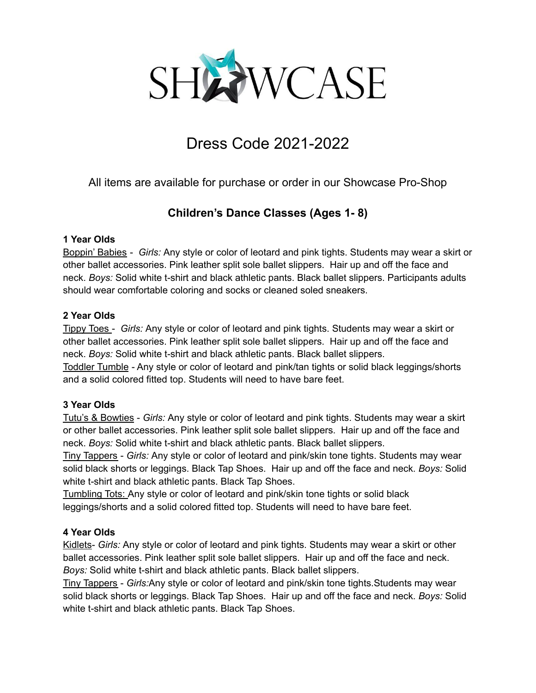

# Dress Code 2021-2022

All items are available for purchase or order in our Showcase Pro-Shop

# **Children's Dance Classes (Ages 1- 8)**

#### **1 Year Olds**

Boppin' Babies - *Girls:* Any style or color of leotard and pink tights. Students may wear a skirt or other ballet accessories. Pink leather split sole ballet slippers. Hair up and off the face and neck. *Boys:* Solid white t-shirt and black athletic pants. Black ballet slippers. Participants adults should wear comfortable coloring and socks or cleaned soled sneakers.

#### **2 Year Olds**

Tippy Toes - *Girls:* Any style or color of leotard and pink tights. Students may wear a skirt or other ballet accessories. Pink leather split sole ballet slippers. Hair up and off the face and neck. *Boys:* Solid white t-shirt and black athletic pants. Black ballet slippers.

Toddler Tumble - Any style or color of leotard and pink/tan tights or solid black leggings/shorts and a solid colored fitted top. Students will need to have bare feet.

## **3 Year Olds**

Tutu's & Bowties - *Girls:* Any style or color of leotard and pink tights. Students may wear a skirt or other ballet accessories. Pink leather split sole ballet slippers. Hair up and off the face and neck. *Boys:* Solid white t-shirt and black athletic pants. Black ballet slippers.

Tiny Tappers - *Girls:* Any style or color of leotard and pink/skin tone tights. Students may wear solid black shorts or leggings. Black Tap Shoes. Hair up and off the face and neck. *Boys:* Solid white t-shirt and black athletic pants. Black Tap Shoes.

Tumbling Tots: Any style or color of leotard and pink/skin tone tights or solid black leggings/shorts and a solid colored fitted top. Students will need to have bare feet.

## **4 Year Olds**

Kidlets- *Girls:* Any style or color of leotard and pink tights. Students may wear a skirt or other ballet accessories. Pink leather split sole ballet slippers. Hair up and off the face and neck. *Boys:* Solid white t-shirt and black athletic pants. Black ballet slippers.

Tiny Tappers - *Girls:*Any style or color of leotard and pink/skin tone tights.Students may wear solid black shorts or leggings. Black Tap Shoes. Hair up and off the face and neck. *Boys:* Solid white t-shirt and black athletic pants. Black Tap Shoes.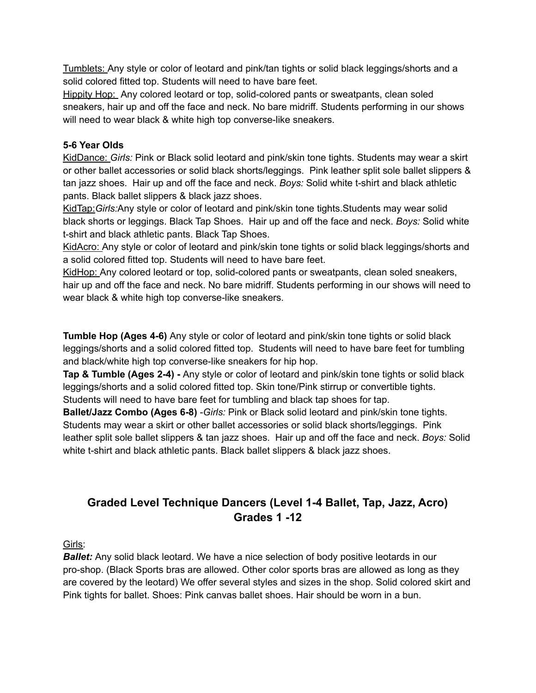Tumblets: Any style or color of leotard and pink/tan tights or solid black leggings/shorts and a solid colored fitted top. Students will need to have bare feet.

Hippity Hop: Any colored leotard or top, solid-colored pants or sweatpants, clean soled sneakers, hair up and off the face and neck. No bare midriff. Students performing in our shows will need to wear black & white high top converse-like sneakers.

#### **5-6 Year Olds**

KidDance: *Girls:* Pink or Black solid leotard and pink/skin tone tights. Students may wear a skirt or other ballet accessories or solid black shorts/leggings. Pink leather split sole ballet slippers & tan jazz shoes. Hair up and off the face and neck. *Boys:* Solid white t-shirt and black athletic pants. Black ballet slippers & black jazz shoes.

KidTap:*Girls:*Any style or color of leotard and pink/skin tone tights.Students may wear solid black shorts or leggings. Black Tap Shoes. Hair up and off the face and neck. *Boys:* Solid white t-shirt and black athletic pants. Black Tap Shoes.

KidAcro: Any style or color of leotard and pink/skin tone tights or solid black leggings/shorts and a solid colored fitted top. Students will need to have bare feet.

KidHop: Any colored leotard or top, solid-colored pants or sweatpants, clean soled sneakers, hair up and off the face and neck. No bare midriff. Students performing in our shows will need to wear black & white high top converse-like sneakers.

**Tumble Hop (Ages 4-6)** Any style or color of leotard and pink/skin tone tights or solid black leggings/shorts and a solid colored fitted top. Students will need to have bare feet for tumbling and black/white high top converse-like sneakers for hip hop.

**Tap & Tumble (Ages 2-4) -** Any style or color of leotard and pink/skin tone tights or solid black leggings/shorts and a solid colored fitted top. Skin tone/Pink stirrup or convertible tights. Students will need to have bare feet for tumbling and black tap shoes for tap.

**Ballet/Jazz Combo (Ages 6-8)** -*Girls:* Pink or Black solid leotard and pink/skin tone tights. Students may wear a skirt or other ballet accessories or solid black shorts/leggings. Pink leather split sole ballet slippers & tan jazz shoes. Hair up and off the face and neck. *Boys:* Solid white t-shirt and black athletic pants. Black ballet slippers & black jazz shoes.

# **Graded Level Technique Dancers (Level 1-4 Ballet, Tap, Jazz, Acro) Grades 1 -12**

Girls:

**Ballet:** Any solid black leotard. We have a nice selection of body positive leotards in our pro-shop. (Black Sports bras are allowed. Other color sports bras are allowed as long as they are covered by the leotard) We offer several styles and sizes in the shop. Solid colored skirt and Pink tights for ballet. Shoes: Pink canvas ballet shoes. Hair should be worn in a bun.